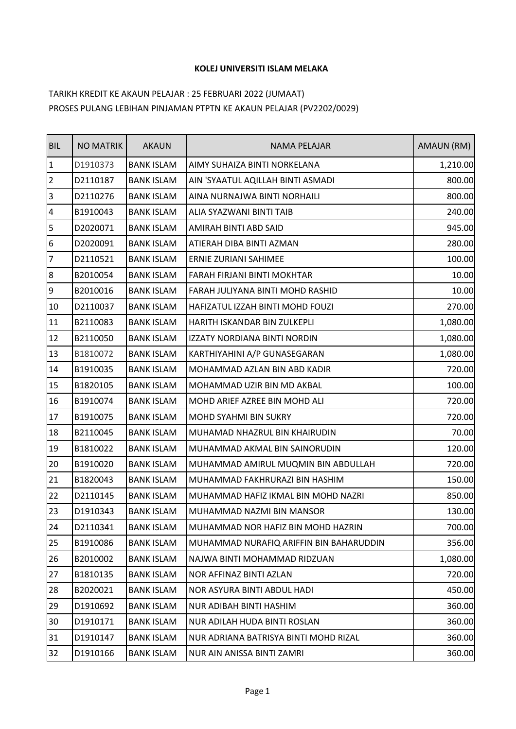## **KOLEJ UNIVERSITI ISLAM MELAKA**

## TARIKH KREDIT KE AKAUN PELAJAR : 25 FEBRUARI 2022 (JUMAAT) PROSES PULANG LEBIHAN PINJAMAN PTPTN KE AKAUN PELAJAR (PV2202/0029)

| <b>BIL</b>      | <b>NO MATRIK</b> | <b>AKAUN</b>      | NAMA PELAJAR                            | AMAUN (RM) |
|-----------------|------------------|-------------------|-----------------------------------------|------------|
| $\overline{1}$  | D1910373         | <b>BANK ISLAM</b> | AIMY SUHAIZA BINTI NORKELANA            | 1,210.00   |
| $\overline{2}$  | D2110187         | <b>BANK ISLAM</b> | AIN 'SYAATUL AQILLAH BINTI ASMADI       | 800.00     |
| 3               | D2110276         | <b>BANK ISLAM</b> | AINA NURNAJWA BINTI NORHAILI            | 800.00     |
| 4               | B1910043         | <b>BANK ISLAM</b> | ALIA SYAZWANI BINTI TAIB                | 240.00     |
| $\overline{5}$  | D2020071         | <b>BANK ISLAM</b> | AMIRAH BINTI ABD SAID                   | 945.00     |
| $6\overline{6}$ | D2020091         | <b>BANK ISLAM</b> | ATIERAH DIBA BINTI AZMAN                | 280.00     |
| $\overline{7}$  | D2110521         | <b>BANK ISLAM</b> | ERNIE ZURIANI SAHIMEE                   | 100.00     |
| $8\,$           | B2010054         | <b>BANK ISLAM</b> | FARAH FIRJANI BINTI MOKHTAR             | 10.00      |
| 9               | B2010016         | <b>BANK ISLAM</b> | FARAH JULIYANA BINTI MOHD RASHID        | 10.00      |
| 10              | D2110037         | <b>BANK ISLAM</b> | HAFIZATUL IZZAH BINTI MOHD FOUZI        | 270.00     |
| 11              | B2110083         | <b>BANK ISLAM</b> | HARITH ISKANDAR BIN ZULKEPLI            | 1,080.00   |
| 12              | B2110050         | <b>BANK ISLAM</b> | IZZATY NORDIANA BINTI NORDIN            | 1,080.00   |
| 13              | B1810072         | <b>BANK ISLAM</b> | KARTHIYAHINI A/P GUNASEGARAN            | 1,080.00   |
| 14              | B1910035         | <b>BANK ISLAM</b> | MOHAMMAD AZLAN BIN ABD KADIR            | 720.00     |
| 15              | B1820105         | <b>BANK ISLAM</b> | MOHAMMAD UZIR BIN MD AKBAL              | 100.00     |
| 16              | B1910074         | <b>BANK ISLAM</b> | MOHD ARIEF AZREE BIN MOHD ALI           | 720.00     |
| 17              | B1910075         | <b>BANK ISLAM</b> | MOHD SYAHMI BIN SUKRY                   | 720.00     |
| 18              | B2110045         | <b>BANK ISLAM</b> | MUHAMAD NHAZRUL BIN KHAIRUDIN           | 70.00      |
| 19              | B1810022         | <b>BANK ISLAM</b> | MUHAMMAD AKMAL BIN SAINORUDIN           | 120.00     |
| 20              | B1910020         | <b>BANK ISLAM</b> | MUHAMMAD AMIRUL MUQMIN BIN ABDULLAH     | 720.00     |
| 21              | B1820043         | <b>BANK ISLAM</b> | MUHAMMAD FAKHRURAZI BIN HASHIM          | 150.00     |
| 22              | D2110145         | <b>BANK ISLAM</b> | MUHAMMAD HAFIZ IKMAL BIN MOHD NAZRI     | 850.00     |
| 23              | D1910343         | <b>BANK ISLAM</b> | MUHAMMAD NAZMI BIN MANSOR               | 130.00     |
| 24              | D2110341         | <b>BANK ISLAM</b> | MUHAMMAD NOR HAFIZ BIN MOHD HAZRIN      | 700.00     |
| 25              | B1910086         | <b>BANK ISLAM</b> | MUHAMMAD NURAFIQ ARIFFIN BIN BAHARUDDIN | 356.00     |
| 26              | B2010002         | <b>BANK ISLAM</b> | NAJWA BINTI MOHAMMAD RIDZUAN            | 1,080.00   |
| 27              | B1810135         | <b>BANK ISLAM</b> | NOR AFFINAZ BINTI AZLAN                 | 720.00     |
| 28              | B2020021         | <b>BANK ISLAM</b> | NOR ASYURA BINTI ABDUL HADI             | 450.00     |
| 29              | D1910692         | <b>BANK ISLAM</b> | NUR ADIBAH BINTI HASHIM                 | 360.00     |
| 30              | D1910171         | <b>BANK ISLAM</b> | NUR ADILAH HUDA BINTI ROSLAN            | 360.00     |
| 31              | D1910147         | <b>BANK ISLAM</b> | NUR ADRIANA BATRISYA BINTI MOHD RIZAL   | 360.00     |
| 32              | D1910166         | <b>BANK ISLAM</b> | NUR AIN ANISSA BINTI ZAMRI              | 360.00     |